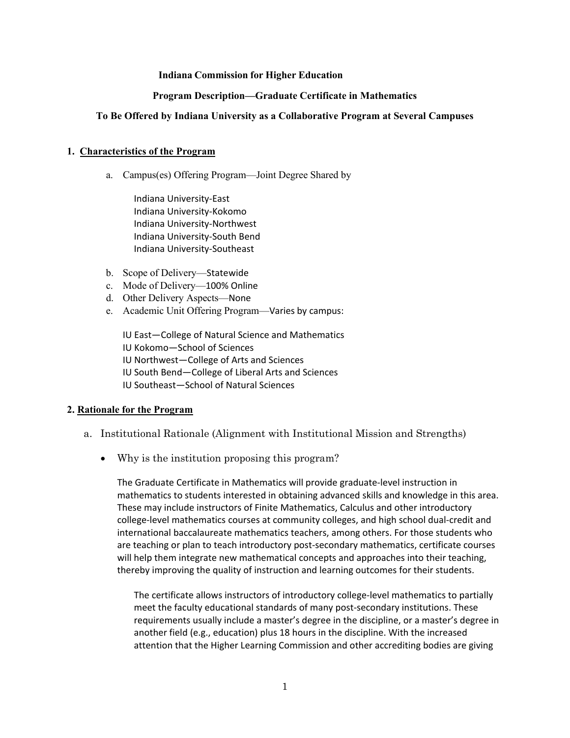## **Indiana Commission for Higher Education**

#### **Program Description—Graduate Certificate in Mathematics**

#### **To Be Offered by Indiana University as a Collaborative Program at Several Campuses**

#### **1. Characteristics of the Program**

a. Campus(es) Offering Program—Joint Degree Shared by

Indiana University-East Indiana University-Kokomo Indiana University-Northwest Indiana University-South Bend Indiana University-Southeast

- b. Scope of Delivery—Statewide
- c. Mode of Delivery—100% Online
- d. Other Delivery Aspects—None
- e. Academic Unit Offering Program—Varies by campus:

IU East—College of Natural Science and Mathematics IU Kokomo—School of Sciences IU Northwest—College of Arts and Sciences IU South Bend—College of Liberal Arts and Sciences IU Southeast—School of Natural Sciences

#### **2. Rationale for the Program**

- a. Institutional Rationale (Alignment with Institutional Mission and Strengths)
	- Why is the institution proposing this program?

The Graduate Certificate in Mathematics will provide graduate-level instruction in mathematics to students interested in obtaining advanced skills and knowledge in this area. These may include instructors of Finite Mathematics, Calculus and other introductory college-level mathematics courses at community colleges, and high school dual-credit and international baccalaureate mathematics teachers, among others. For those students who are teaching or plan to teach introductory post-secondary mathematics, certificate courses will help them integrate new mathematical concepts and approaches into their teaching, thereby improving the quality of instruction and learning outcomes for their students.

The certificate allows instructors of introductory college-level mathematics to partially meet the faculty educational standards of many post-secondary institutions. These requirements usually include a master's degree in the discipline, or a master's degree in another field (e.g., education) plus 18 hours in the discipline. With the increased attention that the Higher Learning Commission and other accrediting bodies are giving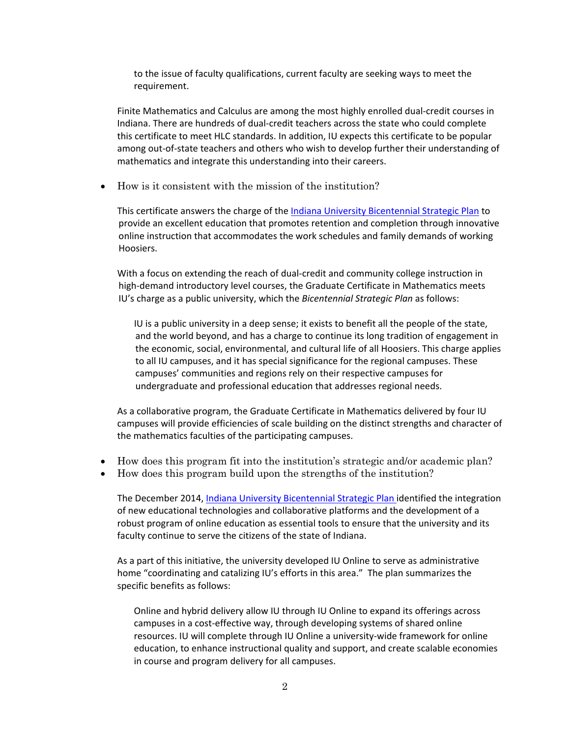to the issue of faculty qualifications, current faculty are seeking ways to meet the requirement.

Finite Mathematics and Calculus are among the most highly enrolled dual-credit courses in Indiana. There are hundreds of dual-credit teachers across the state who could complete this certificate to meet HLC standards. In addition, IU expects this certificate to be popular among out-of-state teachers and others who wish to develop further their understanding of mathematics and integrate this understanding into their careers.

• How is it consistent with the mission of the institution?

This certificate answers the charge of th[e Indiana University Bicentennial Strategic Plan](https://strategicplan.iu.edu/plan/education.html) to provide an excellent education that promotes retention and completion through innovative online instruction that accommodates the work schedules and family demands of working Hoosiers.

With a focus on extending the reach of dual-credit and community college instruction in high-demand introductory level courses, the Graduate Certificate in Mathematics meets IU's charge as a public university, which the *Bicentennial Strategic Plan* as follows:

IU is a public university in a deep sense; it exists to benefit all the people of the state, and the world beyond, and has a charge to continue its long tradition of engagement in the economic, social, environmental, and cultural life of all Hoosiers. This charge applies to all IU campuses, and it has special significance for the regional campuses. These campuses' communities and regions rely on their respective campuses for undergraduate and professional education that addresses regional needs.

As a collaborative program, the Graduate Certificate in Mathematics delivered by four IU campuses will provide efficiencies of scale building on the distinct strengths and character of the mathematics faculties of the participating campuses.

- How does this program fit into the institution's strategic and/or academic plan?
- How does this program build upon the strengths of the institution?

The December 2014, [Indiana University Bicentennial Strategic Plan](https://strategicplan.iu.edu/plan/education.html) identified the integration of new educational technologies and collaborative platforms and the development of a robust program of online education as essential tools to ensure that the university and its faculty continue to serve the citizens of the state of Indiana.

As a part of this initiative, the university developed IU Online to serve as administrative home "coordinating and catalizing IU's efforts in this area." The plan summarizes the specific benefits as follows:

Online and hybrid delivery allow IU through IU Online to expand its offerings across campuses in a cost-effective way, through developing systems of shared online resources. IU will complete through IU Online a university-wide framework for online education, to enhance instructional quality and support, and create scalable economies in course and program delivery for all campuses.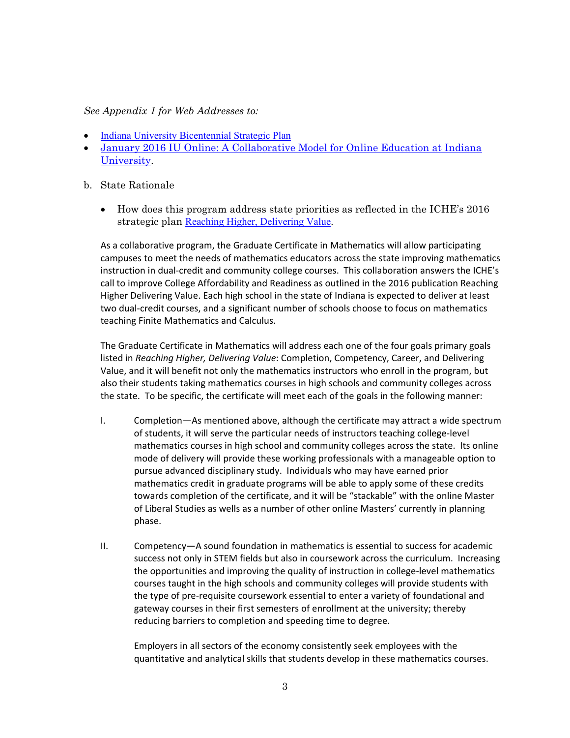## *See Appendix 1 for Web Addresses to:*

- [Indiana University Bicentennial Strategic Plan](https://strategicplan.iu.edu/plan/education.html)
- [January 2016 IU Online: A Collaborative Model for Online Education at Indiana](https://uaa.iu.edu/academic/ooe/docs/ooe_model.pdf)  [University.](https://uaa.iu.edu/academic/ooe/docs/ooe_model.pdf)
- b. State Rationale
	- How does this program address state priorities as reflected in the ICHE's 2016 strategic plan [Reaching Higher, Delivering Value.](http://www.in.gov/che/files/77185_2016_RHDV_Report_Master.pdf)

As a collaborative program, the Graduate Certificate in Mathematics will allow participating campuses to meet the needs of mathematics educators across the state improving mathematics instruction in dual-credit and community college courses. This collaboration answers the ICHE's call to improve College Affordability and Readiness as outlined in the 2016 publication Reaching Higher Delivering Value. Each high school in the state of Indiana is expected to deliver at least two dual-credit courses, and a significant number of schools choose to focus on mathematics teaching Finite Mathematics and Calculus.

The Graduate Certificate in Mathematics will address each one of the four goals primary goals listed in *Reaching Higher, Delivering Value*: Completion, Competency, Career, and Delivering Value, and it will benefit not only the mathematics instructors who enroll in the program, but also their students taking mathematics courses in high schools and community colleges across the state. To be specific, the certificate will meet each of the goals in the following manner:

- I. Completion—As mentioned above, although the certificate may attract a wide spectrum of students, it will serve the particular needs of instructors teaching college-level mathematics courses in high school and community colleges across the state. Its online mode of delivery will provide these working professionals with a manageable option to pursue advanced disciplinary study. Individuals who may have earned prior mathematics credit in graduate programs will be able to apply some of these credits towards completion of the certificate, and it will be "stackable" with the online Master of Liberal Studies as wells as a number of other online Masters' currently in planning phase.
- II. Competency—A sound foundation in mathematics is essential to success for academic success not only in STEM fields but also in coursework across the curriculum. Increasing the opportunities and improving the quality of instruction in college-level mathematics courses taught in the high schools and community colleges will provide students with the type of pre-requisite coursework essential to enter a variety of foundational and gateway courses in their first semesters of enrollment at the university; thereby reducing barriers to completion and speeding time to degree.

Employers in all sectors of the economy consistently seek employees with the quantitative and analytical skills that students develop in these mathematics courses.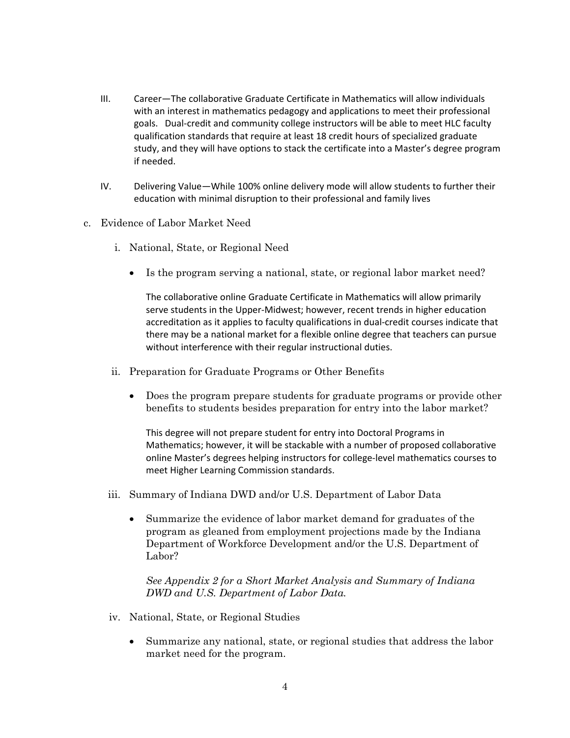- III. Career—The collaborative Graduate Certificate in Mathematics will allow individuals with an interest in mathematics pedagogy and applications to meet their professional goals. Dual-credit and community college instructors will be able to meet HLC faculty qualification standards that require at least 18 credit hours of specialized graduate study, and they will have options to stack the certificate into a Master's degree program if needed.
- IV. Delivering Value—While 100% online delivery mode will allow students to further their education with minimal disruption to their professional and family lives
- c. Evidence of Labor Market Need
	- i. National, State, or Regional Need
		- Is the program serving a national, state, or regional labor market need?

The collaborative online Graduate Certificate in Mathematics will allow primarily serve students in the Upper-Midwest; however, recent trends in higher education accreditation as it applies to faculty qualifications in dual-credit courses indicate that there may be a national market for a flexible online degree that teachers can pursue without interference with their regular instructional duties.

- ii. Preparation for Graduate Programs or Other Benefits
	- Does the program prepare students for graduate programs or provide other benefits to students besides preparation for entry into the labor market?

This degree will not prepare student for entry into Doctoral Programs in Mathematics; however, it will be stackable with a number of proposed collaborative online Master's degrees helping instructors for college-level mathematics courses to meet Higher Learning Commission standards.

- iii. Summary of Indiana DWD and/or U.S. Department of Labor Data
	- Summarize the evidence of labor market demand for graduates of the program as gleaned from employment projections made by the Indiana Department of Workforce Development and/or the U.S. Department of Labor?

*See Appendix 2 for a Short Market Analysis and Summary of Indiana DWD and U.S. Department of Labor Data.* 

- iv. National, State, or Regional Studies
	- Summarize any national, state, or regional studies that address the labor market need for the program.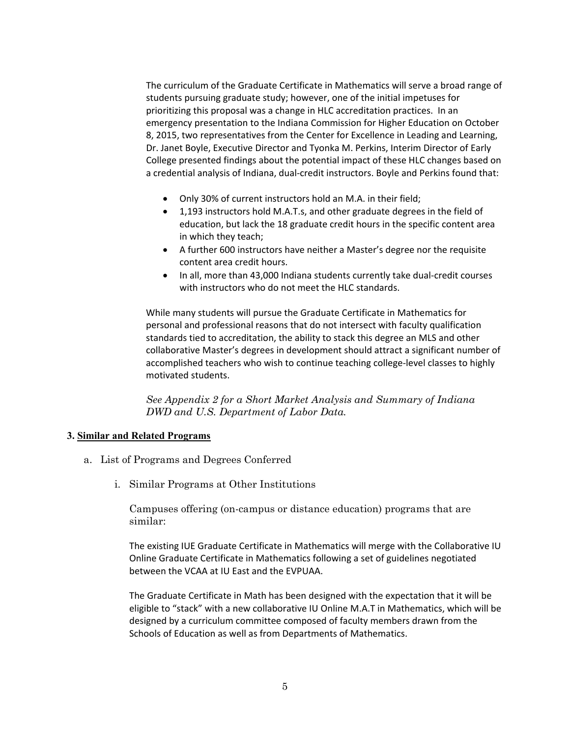The curriculum of the Graduate Certificate in Mathematics will serve a broad range of students pursuing graduate study; however, one of the initial impetuses for prioritizing this proposal was a change in HLC accreditation practices. In an emergency presentation to the Indiana Commission for Higher Education on October 8, 2015, two representatives from the Center for Excellence in Leading and Learning, Dr. Janet Boyle, Executive Director and Tyonka M. Perkins, Interim Director of Early College presented findings about the potential impact of these HLC changes based on a credential analysis of Indiana, dual-credit instructors. Boyle and Perkins found that:

- Only 30% of current instructors hold an M.A. in their field;
- 1,193 instructors hold M.A.T.s, and other graduate degrees in the field of education, but lack the 18 graduate credit hours in the specific content area in which they teach;
- A further 600 instructors have neither a Master's degree nor the requisite content area credit hours.
- In all, more than 43,000 Indiana students currently take dual-credit courses with instructors who do not meet the HLC standards.

While many students will pursue the Graduate Certificate in Mathematics for personal and professional reasons that do not intersect with faculty qualification standards tied to accreditation, the ability to stack this degree an MLS and other collaborative Master's degrees in development should attract a significant number of accomplished teachers who wish to continue teaching college-level classes to highly motivated students.

*See Appendix 2 for a Short Market Analysis and Summary of Indiana DWD and U.S. Department of Labor Data.* 

## **3. Similar and Related Programs**

- a. List of Programs and Degrees Conferred
	- i. Similar Programs at Other Institutions

Campuses offering (on-campus or distance education) programs that are similar:

The existing IUE Graduate Certificate in Mathematics will merge with the Collaborative IU Online Graduate Certificate in Mathematics following a set of guidelines negotiated between the VCAA at IU East and the EVPUAA.

The Graduate Certificate in Math has been designed with the expectation that it will be eligible to "stack" with a new collaborative IU Online M.A.T in Mathematics, which will be designed by a curriculum committee composed of faculty members drawn from the Schools of Education as well as from Departments of Mathematics.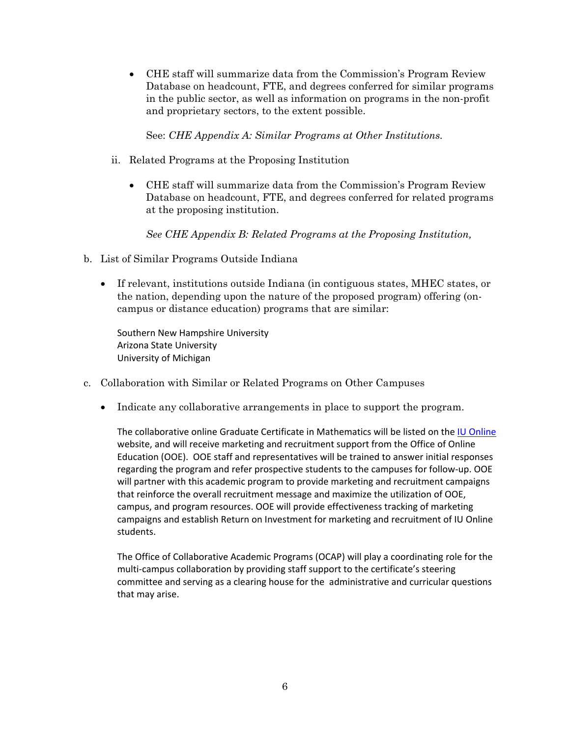• CHE staff will summarize data from the Commission's Program Review Database on headcount, FTE, and degrees conferred for similar programs in the public sector, as well as information on programs in the non-profit and proprietary sectors, to the extent possible.

See: *CHE Appendix A: Similar Programs at Other Institutions.* 

- ii. Related Programs at the Proposing Institution
	- CHE staff will summarize data from the Commission's Program Review Database on headcount, FTE, and degrees conferred for related programs at the proposing institution.

*See CHE Appendix B: Related Programs at the Proposing Institution,* 

- b. List of Similar Programs Outside Indiana
	- If relevant, institutions outside Indiana (in contiguous states, MHEC states, or the nation, depending upon the nature of the proposed program) offering (oncampus or distance education) programs that are similar:

Southern New Hampshire University Arizona State University University of Michigan

- c. Collaboration with Similar or Related Programs on Other Campuses
	- Indicate any collaborative arrangements in place to support the program.

The collaborative online Graduate Certificate in Mathematics will be listed on the [IU Online](http://online.iu.edu/) website, and will receive marketing and recruitment support from the Office of Online Education (OOE). OOE staff and representatives will be trained to answer initial responses regarding the program and refer prospective students to the campuses for follow-up. OOE will partner with this academic program to provide marketing and recruitment campaigns that reinforce the overall recruitment message and maximize the utilization of OOE, campus, and program resources. OOE will provide effectiveness tracking of marketing campaigns and establish Return on Investment for marketing and recruitment of IU Online students.

The Office of Collaborative Academic Programs (OCAP) will play a coordinating role for the multi-campus collaboration by providing staff support to the certificate's steering committee and serving as a clearing house for the administrative and curricular questions that may arise.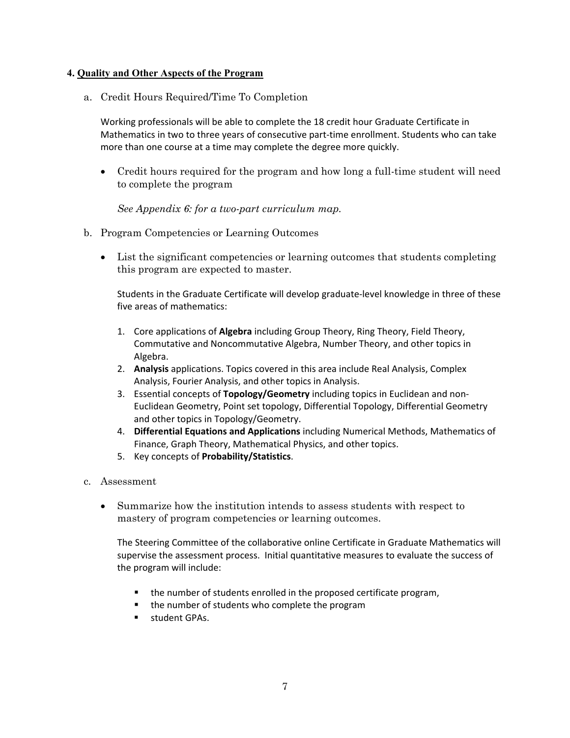## **4. Quality and Other Aspects of the Program**

a. Credit Hours Required/Time To Completion

Working professionals will be able to complete the 18 credit hour Graduate Certificate in Mathematics in two to three years of consecutive part-time enrollment. Students who can take more than one course at a time may complete the degree more quickly.

• Credit hours required for the program and how long a full-time student will need to complete the program

*See Appendix 6: for a two-part curriculum map.*

- b. Program Competencies or Learning Outcomes
	- List the significant competencies or learning outcomes that students completing this program are expected to master.

Students in the Graduate Certificate will develop graduate-level knowledge in three of these five areas of mathematics:

- 1. Core applications of **Algebra** including Group Theory, Ring Theory, Field Theory, Commutative and Noncommutative Algebra, Number Theory, and other topics in Algebra.
- 2. **Analysis** applications. Topics covered in this area include Real Analysis, Complex Analysis, Fourier Analysis, and other topics in Analysis.
- 3. Essential concepts of **Topology/Geometry** including topics in Euclidean and non-Euclidean Geometry, Point set topology, Differential Topology, Differential Geometry and other topics in Topology/Geometry.
- 4. **Differential Equations and Applications** including Numerical Methods, Mathematics of Finance, Graph Theory, Mathematical Physics, and other topics.
- 5. Key concepts of **Probability/Statistics**.

## c. Assessment

• Summarize how the institution intends to assess students with respect to mastery of program competencies or learning outcomes.

The Steering Committee of the collaborative online Certificate in Graduate Mathematics will supervise the assessment process. Initial quantitative measures to evaluate the success of the program will include:

- the number of students enrolled in the proposed certificate program,
- the number of students who complete the program
- **student GPAs.**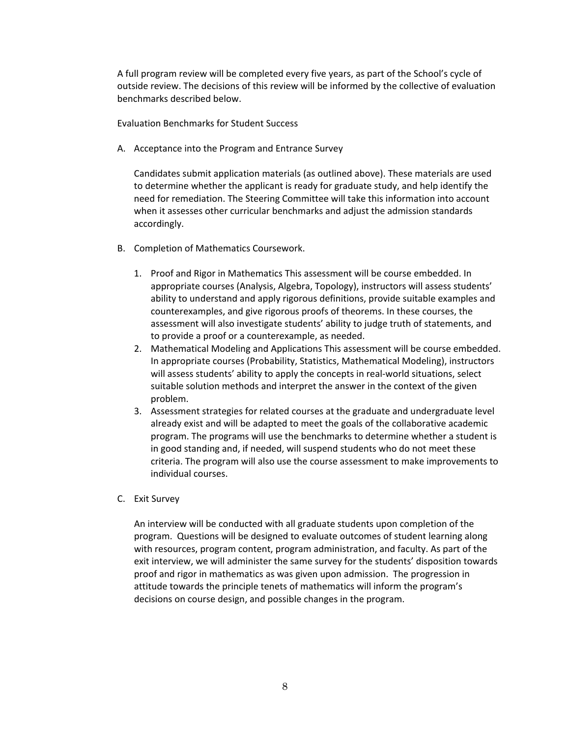A full program review will be completed every five years, as part of the School's cycle of outside review. The decisions of this review will be informed by the collective of evaluation benchmarks described below.

Evaluation Benchmarks for Student Success

A. Acceptance into the Program and Entrance Survey

Candidates submit application materials (as outlined above). These materials are used to determine whether the applicant is ready for graduate study, and help identify the need for remediation. The Steering Committee will take this information into account when it assesses other curricular benchmarks and adjust the admission standards accordingly.

- B. Completion of Mathematics Coursework.
	- 1. Proof and Rigor in Mathematics This assessment will be course embedded. In appropriate courses (Analysis, Algebra, Topology), instructors will assess students' ability to understand and apply rigorous definitions, provide suitable examples and counterexamples, and give rigorous proofs of theorems. In these courses, the assessment will also investigate students' ability to judge truth of statements, and to provide a proof or a counterexample, as needed.
	- 2. Mathematical Modeling and Applications This assessment will be course embedded. In appropriate courses (Probability, Statistics, Mathematical Modeling), instructors will assess students' ability to apply the concepts in real-world situations, select suitable solution methods and interpret the answer in the context of the given problem.
	- 3. Assessment strategies for related courses at the graduate and undergraduate level already exist and will be adapted to meet the goals of the collaborative academic program. The programs will use the benchmarks to determine whether a student is in good standing and, if needed, will suspend students who do not meet these criteria. The program will also use the course assessment to make improvements to individual courses.
- C. Exit Survey

An interview will be conducted with all graduate students upon completion of the program. Questions will be designed to evaluate outcomes of student learning along with resources, program content, program administration, and faculty. As part of the exit interview, we will administer the same survey for the students' disposition towards proof and rigor in mathematics as was given upon admission. The progression in attitude towards the principle tenets of mathematics will inform the program's decisions on course design, and possible changes in the program.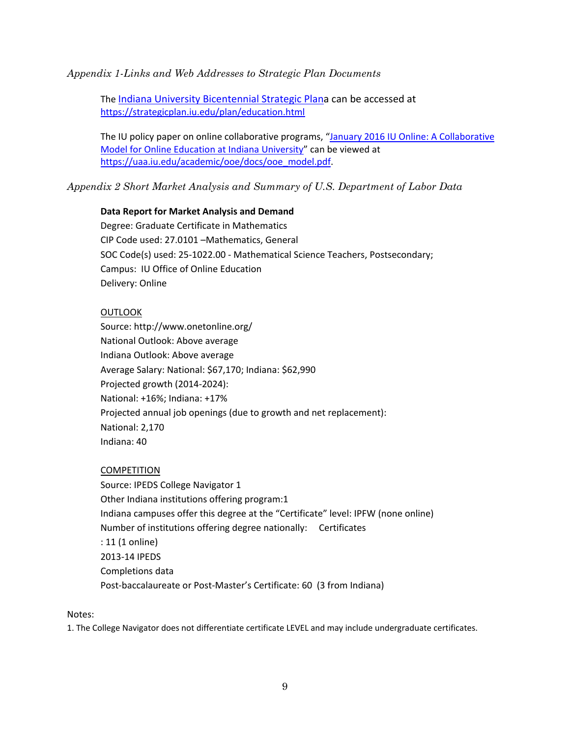*Appendix 1-Links and Web Addresses to Strategic Plan Documents*

The [Indiana University Bicentennial Strategic Plana](https://strategicplan.iu.edu/plan/education.html) can be accessed at <https://strategicplan.iu.edu/plan/education.html>

The IU policy paper on online collaborative programs, "January 2016 IU Online: A Collaborative [Model for Online Education at Indiana University"](https://uaa.iu.edu/academic/ooe/docs/ooe_model.pdf) can be viewed at [https://uaa.iu.edu/academic/ooe/docs/ooe\\_model.pdf.](https://uaa.iu.edu/academic/ooe/docs/ooe_model.pdf)

*Appendix 2 Short Market Analysis and Summary of U.S. Department of Labor Data*

## **Data Report for Market Analysis and Demand**

Degree: Graduate Certificate in Mathematics CIP Code used: 27.0101 –Mathematics, General SOC Code(s) used: 25-1022.00 - Mathematical Science Teachers, Postsecondary; Campus: IU Office of Online Education Delivery: Online

## **OUTLOOK**

Source: http://www.onetonline.org/ National Outlook: Above average Indiana Outlook: Above average Average Salary: National: \$67,170; Indiana: \$62,990 Projected growth (2014-2024): National: +16%; Indiana: +17% Projected annual job openings (due to growth and net replacement): National: 2,170 Indiana: 40

## **COMPETITION**

Source: IPEDS College Navigator 1 Other Indiana institutions offering program:1 Indiana campuses offer this degree at the "Certificate" level: IPFW (none online) Number of institutions offering degree nationally: Certificates : 11 (1 online) 2013-14 IPEDS Completions data Post-baccalaureate or Post-Master's Certificate: 60 (3 from Indiana)

Notes:

1. The College Navigator does not differentiate certificate LEVEL and may include undergraduate certificates.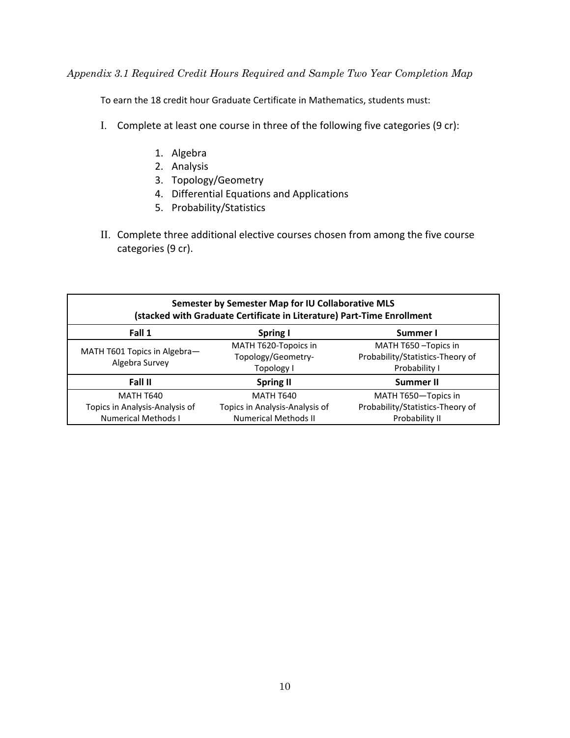*Appendix 3.1 Required Credit Hours Required and Sample Two Year Completion Map*

To earn the 18 credit hour Graduate Certificate in Mathematics, students must:

- I. Complete at least one course in three of the following five categories (9 cr):
	- 1. Algebra
	- 2. Analysis
	- 3. Topology/Geometry
	- 4. Differential Equations and Applications
	- 5. Probability/Statistics
- II. Complete three additional elective courses chosen from among the five course categories (9 cr).

| Semester by Semester Map for IU Collaborative MLS<br>(stacked with Graduate Certificate in Literature) Part-Time Enrollment |                                                          |                                                                            |
|-----------------------------------------------------------------------------------------------------------------------------|----------------------------------------------------------|----------------------------------------------------------------------------|
| Fall 1                                                                                                                      | Spring I                                                 | Summer I                                                                   |
| MATH T601 Topics in Algebra-<br>Algebra Survey                                                                              | MATH T620-Topoics in<br>Topology/Geometry-<br>Topology I | MATH T650 - Topics in<br>Probability/Statistics-Theory of<br>Probability I |
| Fall II                                                                                                                     | <b>Spring II</b>                                         | <b>Summer II</b>                                                           |
| <b>MATH T640</b>                                                                                                            | <b>MATH T640</b>                                         | MATH T650-Topics in                                                        |
| Topics in Analysis-Analysis of                                                                                              | Topics in Analysis-Analysis of                           | Probability/Statistics-Theory of                                           |
| <b>Numerical Methods I</b>                                                                                                  | <b>Numerical Methods II</b>                              | Probability II                                                             |